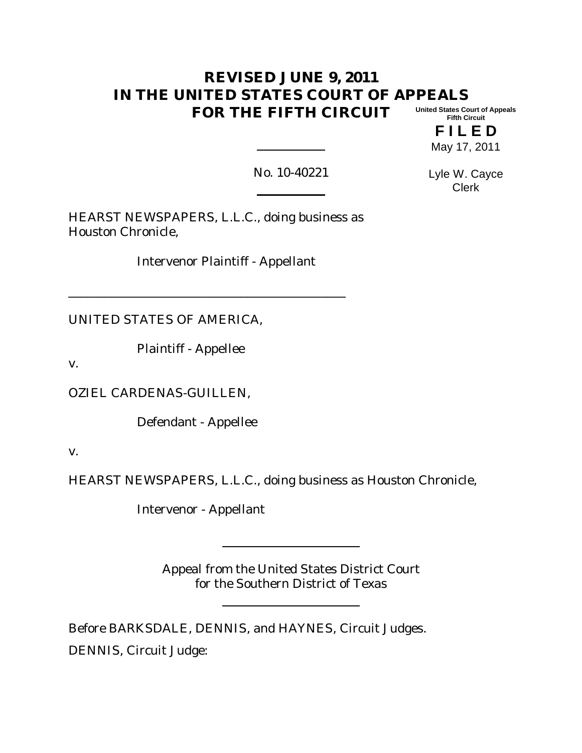#### **REVISED JUNE 9, 2011 IN THE UNITED STATES COURT OF APPEALS FOR THE FIFTH CIRCUIT United States Court of Appeals Fifth Circuit**

**F I L E D** May 17, 2011

No. 10-40221

Lyle W. Cayce Clerk

HEARST NEWSPAPERS, L.L.C., doing business as Houston Chronicle,

\_\_\_\_\_\_\_\_\_\_\_\_\_\_\_\_\_\_\_\_\_\_\_\_\_\_\_\_\_\_\_\_\_\_\_\_\_\_\_\_\_\_\_\_\_

Intervenor Plaintiff - Appellant

UNITED STATES OF AMERICA,

Plaintiff - Appellee

v.

OZIEL CARDENAS-GUILLEN,

Defendant - Appellee

v.

HEARST NEWSPAPERS, L.L.C., doing business as Houston Chronicle,

Intervenor - Appellant

Appeal from the United States District Court for the Southern District of Texas

Before BARKSDALE, DENNIS, and HAYNES, Circuit Judges. DENNIS, Circuit Judge: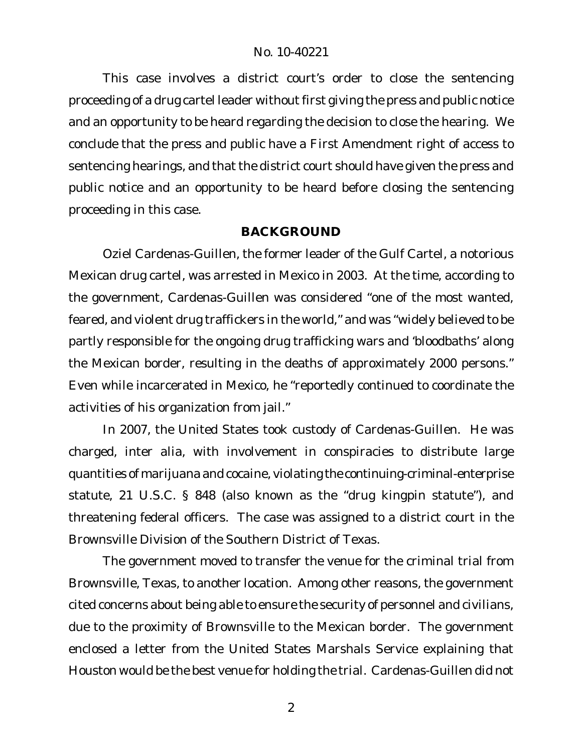This case involves a district court's order to close the sentencing proceeding of a drug cartel leader without first giving the press and public notice and an opportunity to be heard regarding the decision to close the hearing. We conclude that the press and public have a First Amendment right of access to sentencing hearings, and that the district court should have given the press and public notice and an opportunity to be heard before closing the sentencing proceeding in this case.

# **BACKGROUND**

Oziel Cardenas-Guillen, the former leader of the Gulf Cartel, a notorious Mexican drug cartel, was arrested in Mexico in 2003. At the time, according to the government, Cardenas-Guillen was considered "one of the most wanted, feared, and violent drug traffickers in the world," and was "widely believed to be partly responsible for the ongoing drug trafficking wars and 'bloodbaths' along the Mexican border, resulting in the deaths of approximately 2000 persons." Even while incarcerated in Mexico, he "reportedly continued to coordinate the activities of his organization from jail."

In 2007, the United States took custody of Cardenas-Guillen. He was charged, inter alia, with involvement in conspiracies to distribute large quantities of marijuana and cocaine, violating the continuing-criminal-enterprise statute, 21 U.S.C. § 848 (also known as the "drug kingpin statute"), and threatening federal officers. The case was assigned to a district court in the Brownsville Division of the Southern District of Texas.

The government moved to transfer the venue for the criminal trial from Brownsville, Texas, to another location. Among other reasons, the government cited concerns about being able to ensure the security of personnel and civilians, due to the proximity of Brownsville to the Mexican border. The government enclosed a letter from the United States Marshals Service explaining that Houston would be the best venue for holding the trial. Cardenas-Guillen did not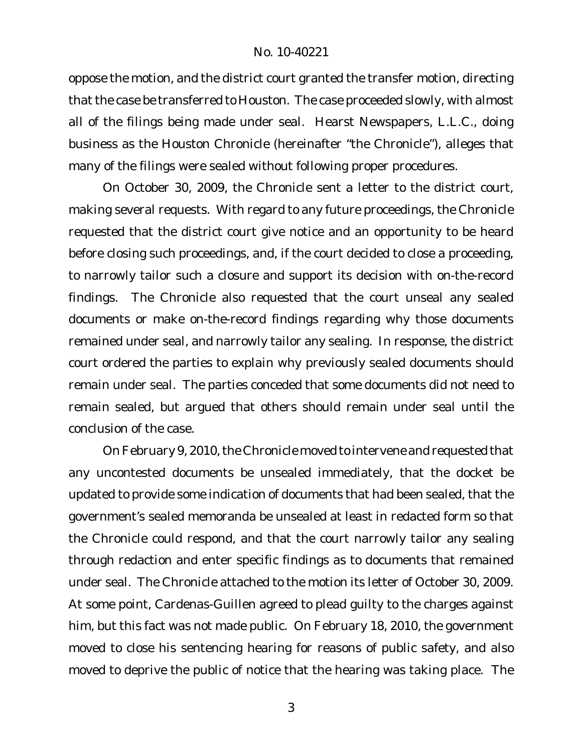oppose the motion, and the district court granted the transfer motion, directing that the case be transferred to Houston. The case proceeded slowly, with almost all of the filings being made under seal. Hearst Newspapers, L.L.C., doing business as the Houston Chronicle (hereinafter "the Chronicle"), alleges that many of the filings were sealed without following proper procedures.

On October 30, 2009, the Chronicle sent a letter to the district court, making several requests. With regard to any future proceedings, the Chronicle requested that the district court give notice and an opportunity to be heard before closing such proceedings, and, if the court decided to close a proceeding, to narrowly tailor such a closure and support its decision with on-the-record findings. The Chronicle also requested that the court unseal any sealed documents or make on-the-record findings regarding why those documents remained under seal, and narrowly tailor any sealing. In response, the district court ordered the parties to explain why previously sealed documents should remain under seal. The parties conceded that some documents did not need to remain sealed, but argued that others should remain under seal until the conclusion of the case.

On February 9, 2010, the Chronicle moved to intervene and requested that any uncontested documents be unsealed immediately, that the docket be updated to provide some indication of documents that had been sealed, that the government's sealed memoranda be unsealed at least in redacted form so that the Chronicle could respond, and that the court narrowly tailor any sealing through redaction and enter specific findings as to documents that remained under seal. The Chronicle attached to the motion its letter of October 30, 2009. At some point, Cardenas-Guillen agreed to plead guilty to the charges against him, but this fact was not made public. On February 18, 2010, the government moved to close his sentencing hearing for reasons of public safety, and also moved to deprive the public of notice that the hearing was taking place. The

<sup>3</sup>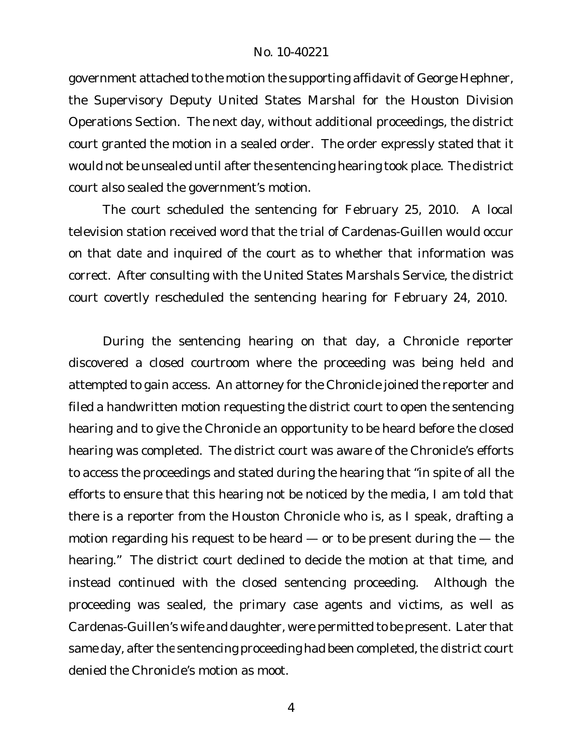government attached to the motion the supporting affidavit of George Hephner, the Supervisory Deputy United States Marshal for the Houston Division Operations Section. The next day, without additional proceedings, the district court granted the motion in a sealed order. The order expressly stated that it would not be unsealed until after the sentencing hearing took place. The district court also sealed the government's motion.

The court scheduled the sentencing for February 25, 2010. A local television station received word that the trial of Cardenas-Guillen would occur on that date and inquired of the court as to whether that information was correct. After consulting with the United States Marshals Service, the district court covertly rescheduled the sentencing hearing for February 24, 2010.

During the sentencing hearing on that day, a Chronicle reporter discovered a closed courtroom where the proceeding was being held and attempted to gain access. An attorney for the Chronicle joined the reporter and filed a handwritten motion requesting the district court to open the sentencing hearing and to give the Chronicle an opportunity to be heard before the closed hearing was completed. The district court was aware of the Chronicle's efforts to access the proceedings and stated during the hearing that "in spite of all the efforts to ensure that this hearing not be noticed by the media, I am told that there is a reporter from the Houston Chronicle who is, as I speak, drafting a motion regarding his request to be heard — or to be present during the — the hearing." The district court declined to decide the motion at that time, and instead continued with the closed sentencing proceeding. Although the proceeding was sealed, the primary case agents and victims, as well as Cardenas-Guillen's wife and daughter, were permitted to be present. Later that same day, after the sentencing proceeding had been completed, the district court denied the Chronicle's motion as moot.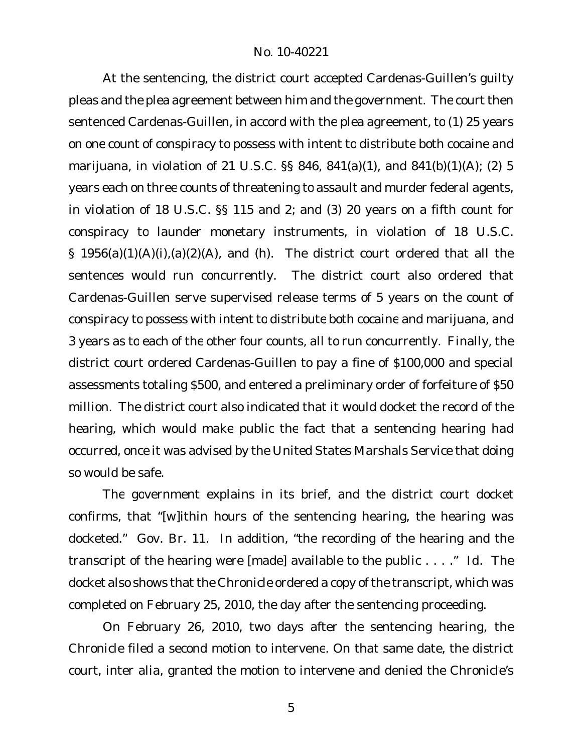At the sentencing, the district court accepted Cardenas-Guillen's guilty pleas and the plea agreement between him and the government. The court then sentenced Cardenas-Guillen, in accord with the plea agreement, to (1) 25 years on one count of conspiracy to possess with intent to distribute both cocaine and marijuana, in violation of 21 U.S.C. §§ 846, 841(a)(1), and 841(b)(1)(A); (2) 5 years each on three counts of threatening to assault and murder federal agents, in violation of 18 U.S.C. §§ 115 and 2; and (3) 20 years on a fifth count for conspiracy to launder monetary instruments, in violation of 18 U.S.C. § 1956(a)(1)(A)(i),(a)(2)(A), and (h). The district court ordered that all the sentences would run concurrently. The district court also ordered that Cardenas-Guillen serve supervised release terms of 5 years on the count of conspiracy to possess with intent to distribute both cocaine and marijuana, and 3 years as to each of the other four counts, all to run concurrently. Finally, the district court ordered Cardenas-Guillen to pay a fine of \$100,000 and special assessments totaling \$500, and entered a preliminary order of forfeiture of \$50 million. The district court also indicated that it would docket the record of the hearing, which would make public the fact that a sentencing hearing had occurred, once it was advised by the United States Marshals Service that doing so would be safe.

The government explains in its brief, and the district court docket confirms, that "[w]ithin hours of the sentencing hearing, the hearing was docketed." Gov. Br. 11. In addition, "the recording of the hearing and the transcript of the hearing were [made] available to the public . . . ." *Id.* The docket also shows that the Chronicle ordered a copy of the transcript, which was completed on February 25, 2010, the day after the sentencing proceeding.

On February 26, 2010, two days after the sentencing hearing, the Chronicle filed a second motion to intervene. On that same date, the district court, inter alia, granted the motion to intervene and denied the Chronicle's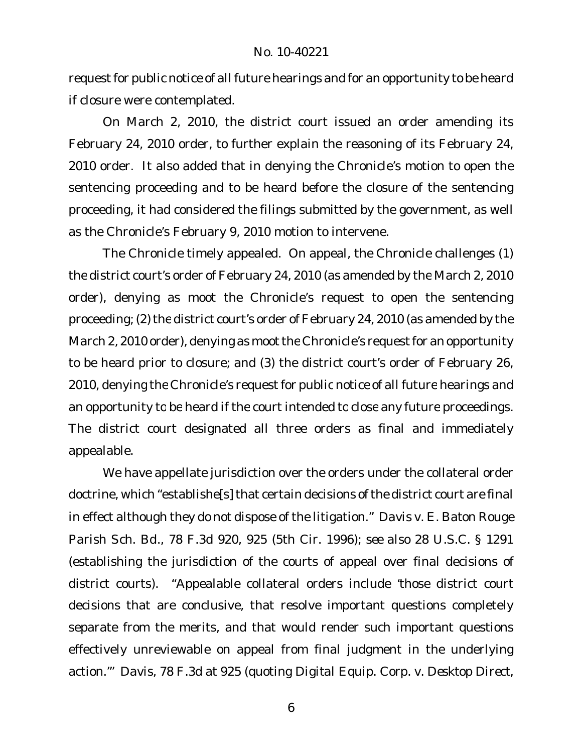request for public notice of all future hearings and for an opportunity to be heard if closure were contemplated.

On March 2, 2010, the district court issued an order amending its February 24, 2010 order, to further explain the reasoning of its February 24, 2010 order. It also added that in denying the Chronicle's motion to open the sentencing proceeding and to be heard before the closure of the sentencing proceeding, it had considered the filings submitted by the government, as well as the Chronicle's February 9, 2010 motion to intervene.

The Chronicle timely appealed. On appeal, the Chronicle challenges (1) the district court's order of February 24, 2010 (as amended by the March 2, 2010 order), denying as moot the Chronicle's request to open the sentencing proceeding; (2) the district court's order of February 24, 2010 (as amended by the March 2, 2010 order), denying as moot the Chronicle's request for an opportunity to be heard prior to closure; and (3) the district court's order of February 26, 2010, denying the Chronicle's request for public notice of all future hearings and an opportunity to be heard if the court intended to close any future proceedings. The district court designated all three orders as final and immediately appealable.

We have appellate jurisdiction over the orders under the collateral order doctrine, which "establishe[s] that certain decisions of the district court are final in effect although they do not dispose of the litigation." *Davis v. E. Baton Rouge Parish Sch. Bd.*, 78 F.3d 920, 925 (5th Cir. 1996); *see also* 28 U.S.C. § 1291 (establishing the jurisdiction of the courts of appeal over final decisions of district courts). "Appealable collateral orders include 'those district court decisions that are conclusive, that resolve important questions completely separate from the merits, and that would render such important questions effectively unreviewable on appeal from final judgment in the underlying action.'" *Davis*, 78 F.3d at 925 (quoting *Digital Equip. Corp. v. Desktop Direct,*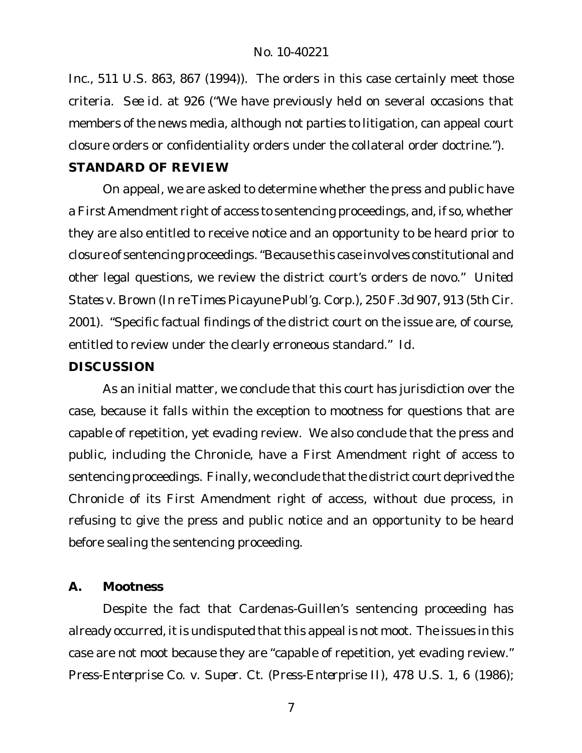*Inc.*, 511 U.S. 863, 867 (1994)). The orders in this case certainly meet those criteria. *See id.* at 926 ("We have previously held on several occasions that members of the news media, although not parties to litigation, can appeal court closure orders or confidentiality orders under the collateral order doctrine."). **STANDARD OF REVIEW**

On appeal, we are asked to determine whether the press and public have a First Amendment right of access to sentencing proceedings, and, if so, whether they are also entitled to receive notice and an opportunity to be heard prior to closure of sentencing proceedings."Because this case involves constitutional and other legal questions, we review the district court's orders de novo." *United States v. Brown (In re Times Picayune Publ'g. Corp.*), 250 F.3d 907, 913 (5th Cir. 2001). "Specific factual findings of the district court on the issue are, of course, entitled to review under the clearly erroneous standard." *Id.*

# **DISCUSSION**

As an initial matter, we conclude that this court has jurisdiction over the case, because it falls within the exception to mootness for questions that are capable of repetition, yet evading review. We also conclude that the press and public, including the Chronicle, have a First Amendment right of access to sentencing proceedings. Finally, we conclude that the district court deprived the Chronicle of its First Amendment right of access, without due process, in refusing to give the press and public notice and an opportunity to be heard before sealing the sentencing proceeding.

# **A. Mootness**

Despite the fact that Cardenas-Guillen's sentencing proceeding has already occurred, it is undisputed that this appeal is not moot. The issues in this case are not moot because they are "capable of repetition, yet evading review." *Press-Enterprise Co. v. Super. Ct. (Press-Enterprise II)*, 478 U.S. 1, 6 (1986);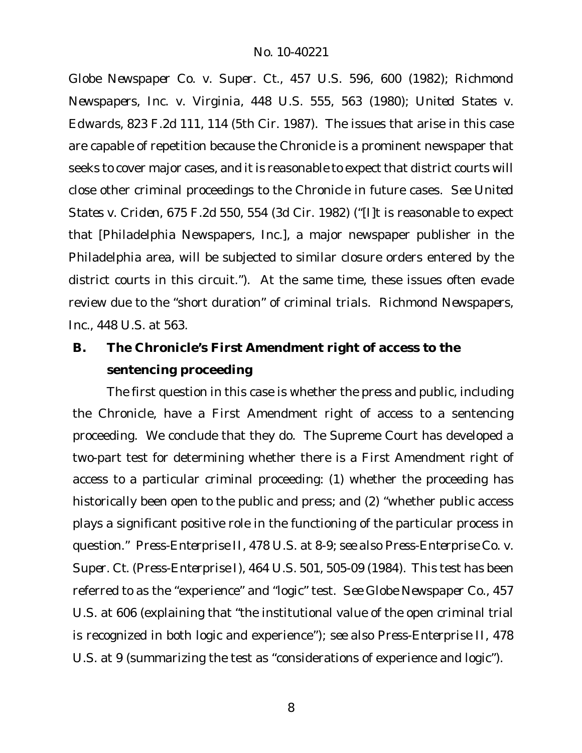*Globe Newspaper Co. v. Super. Ct.*, 457 U.S. 596, 600 (1982); *Richmond Newspapers, Inc. v. Virginia*, 448 U.S. 555, 563 (1980); *United States v. Edwards*, 823 F.2d 111, 114 (5th Cir. 1987). The issues that arise in this case are capable of repetition because the Chronicle is a prominent newspaper that seeks to cover major cases, and it is reasonable to expect that district courts will close other criminal proceedings to the Chronicle in future cases. *See United States v. Criden*, 675 F.2d 550, 554 (3d Cir. 1982) ("[I]t is reasonable to expect that [Philadelphia Newspapers, Inc.], a major newspaper publisher in the Philadelphia area, will be subjected to similar closure orders entered by the district courts in this circuit."). At the same time, these issues often evade review due to the "short duration" of criminal trials. *Richmond Newspapers, Inc.*, 448 U.S. at 563.

**B. The Chronicle's First Amendment right of access to the sentencing proceeding**

The first question in this case is whether the press and public, including the Chronicle, have a First Amendment right of access to a sentencing proceeding. We conclude that they do. The Supreme Court has developed a two-part test for determining whether there is a First Amendment right of access to a particular criminal proceeding: (1) whether the proceeding has historically been open to the public and press; and (2) "whether public access plays a significant positive role in the functioning of the particular process in question." *Press-Enterprise II*, 478 U.S. at 8-9; *see also Press-Enterprise Co. v. Super. Ct.* (*Press-Enterprise I*), 464 U.S. 501, 505-09 (1984). This test has been referred to as the "experience" and "logic" test. *See Globe Newspaper Co.*, 457 U.S. at 606 (explaining that "the institutional value of the open criminal trial is recognized in both logic and experience"); *see also Press-Enterprise II*, 478 U.S. at 9 (summarizing the test as "considerations of experience and logic").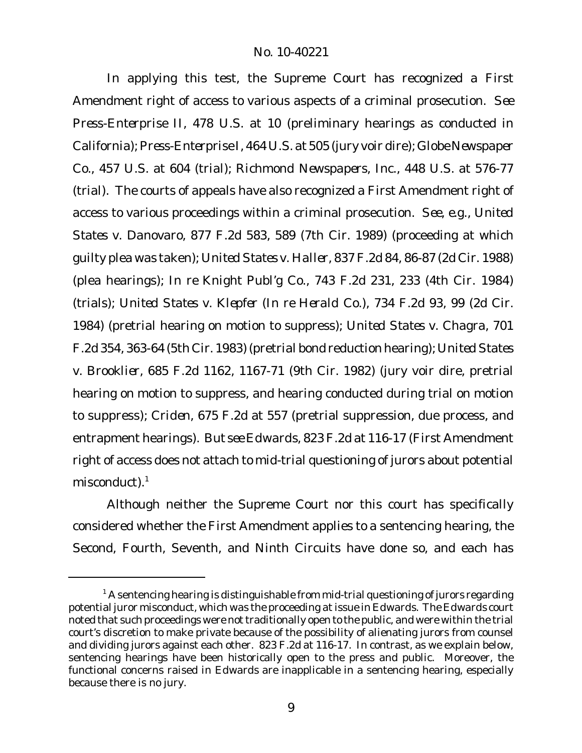In applying this test, the Supreme Court has recognized a First Amendment right of access to various aspects of a criminal prosecution. *See Press-Enterprise II*, 478 U.S. at 10 (preliminary hearings as conducted in California);*Press-Enterprise I*, 464 U.S. at 505 (jury voir dire); *Globe Newspaper Co.*, 457 U.S. at 604 (trial); *Richmond Newspapers, Inc.*, 448 U.S. at 576-77 (trial). The courts of appeals have also recognized a First Amendment right of access to various proceedings within a criminal prosecution. *See, e.g., United States v. Danovaro*, 877 F.2d 583, 589 (7th Cir. 1989) (proceeding at which guilty plea was taken); *United States v. Haller*, 837 F.2d 84, 86-87 (2d Cir. 1988) (plea hearings); *In re Knight Publ'g Co.*, 743 F.2d 231, 233 (4th Cir. 1984) (trials); *United States v. Klepfer* (*In re Herald Co.*), 734 F.2d 93, 99 (2d Cir. 1984) (pretrial hearing on motion to suppress); *United States v. Chagra*, 701 F.2d 354, 363-64 (5th Cir. 1983) (pretrial bond reduction hearing); *UnitedStates v. Brooklier*, 685 F.2d 1162, 1167-71 (9th Cir. 1982) (jury voir dire, pretrial hearing on motion to suppress, and hearing conducted during trial on motion to suppress); *Criden*, 675 F.2d at 557 (pretrial suppression, due process, and entrapment hearings). *But see Edwards*, 823 F.2d at 116-17 (First Amendment right of access does not attach to mid-trial questioning of jurors about potential misconduct).<sup>1</sup>

Although neither the Supreme Court nor this court has specifically considered whether the First Amendment applies to a sentencing hearing, the Second, Fourth, Seventh, and Ninth Circuits have done so, and each has

 $1$  A sentencing hearing is distinguishable from mid-trial questioning of jurors regarding potential juror misconduct, which was the proceeding at issue in *Edwards*. The *Edwards* court noted that such proceedings were not traditionally open to the public, and were within the trial court's discretion to make private because of the possibility of alienating jurors from counsel and dividing jurors against each other. 823 F.2d at 116-17. In contrast, as we explain below, sentencing hearings have been historically open to the press and public. Moreover, the functional concerns raised in *Edwards* are inapplicable in a sentencing hearing, especially because there is no jury.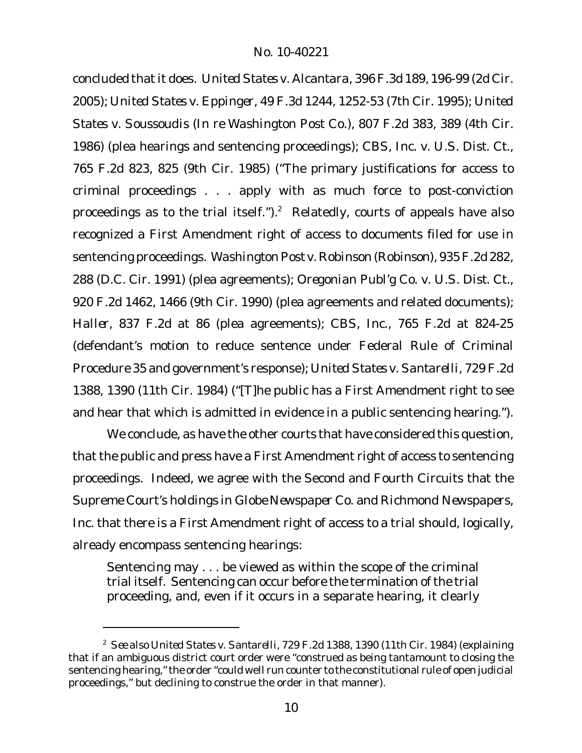concluded thatit does. *United States v. Alcantara*, 396F.3d 189, 196-99 (2d Cir. 2005); *United States v. Eppinger*, 49 F.3d 1244, 1252-53 (7th Cir. 1995); *United States v. Soussoudis* (*In re Washington Post Co.*), 807 F.2d 383, 389 (4th Cir. 1986) (plea hearings and sentencing proceedings); *CBS, Inc. v. U.S. Dist. Ct.*, 765 F.2d 823, 825 (9th Cir. 1985) ("The primary justifications for access to criminal proceedings . . . apply with as much force to post-conviction proceedings as to the trial itself."). $2$  Relatedly, courts of appeals have also recognized a First Amendment right of access to documents filed for use in sentencing proceedings. *Washington Post v. Robinson* (*Robinson*), 935F.2d 282, 288 (D.C. Cir. 1991) (plea agreements); *Oregonian Publ'g Co. v. U.S. Dist. Ct.*, 920 F.2d 1462, 1466 (9th Cir. 1990) (plea agreements and related documents); *Haller*, 837 F.2d at 86 (plea agreements); *CBS, Inc*., 765 F.2d at 824-25 (defendant's motion to reduce sentence under Federal Rule of Criminal Procedure 35 and government's response); *United States v. Santarelli*, 729 F.2d 1388, 1390 (11th Cir. 1984) ("[T]he public has a First Amendment right to see and hear that which is admitted in evidence in a public sentencing hearing.").

We conclude, as have the other courts that have considered this question, that the public and press have a First Amendment right of access to sentencing proceedings. Indeed, we agree with the Second and Fourth Circuits that the Supreme Court's holdings in *Globe Newspaper Co.* and *Richmond Newspapers, Inc.* that there is a First Amendment right of access to a trial should, logically, already encompass sentencing hearings:

Sentencing may . . . be viewed as within the scope of the criminal trial itself. Sentencing can occur before the termination of the trial proceeding, and, even if it occurs in a separate hearing, it clearly

<sup>2</sup> *See also United States v. Santarelli*, 729 F.2d 1388, 1390 (11th Cir. 1984) (explaining that if an ambiguous district court order were "construed as being tantamount to closing the sentencing hearing," the order "could well run counter to the constitutional rule of open judicial proceedings," but declining to construe the order in that manner).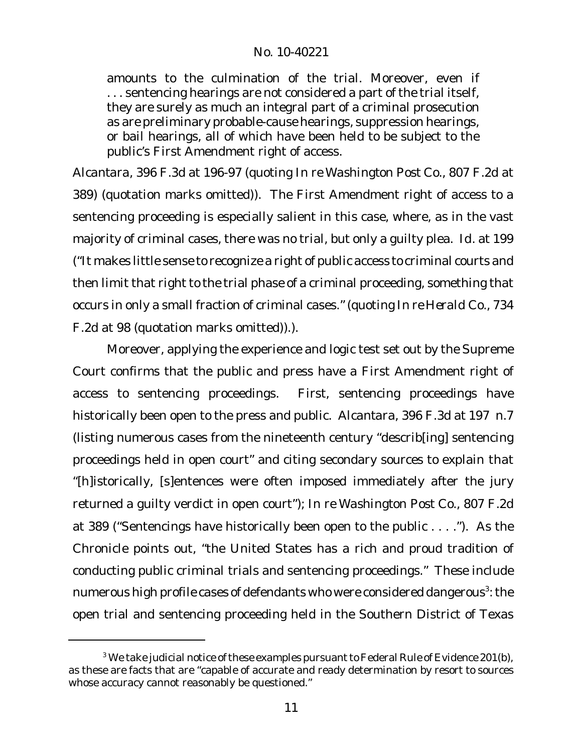amounts to the culmination of the trial. Moreover, even if . . . sentencing hearings are not considered a part of the trial itself, they are surely as much an integral part of a criminal prosecution as are preliminary probable-cause hearings, suppression hearings, or bail hearings, all of which have been held to be subject to the public's First Amendment right of access.

*Alcantara*, 396 F.3d at 196-97 (quoting *In re Washington Post Co.*, 807 F.2d at 389) (quotation marks omitted)). The First Amendment right of access to a sentencing proceeding is especially salient in this case, where, as in the vast majority of criminal cases, there was no trial, but only a guilty plea. *Id.* at 199 ("It makes little sense to recognize a right of public access to criminal courts and then limit that right to the trial phase of a criminal proceeding, something that occurs in only a small fraction of criminal cases." (quoting *In re Herald Co.*, 734 F.2d at 98 (quotation marks omitted)).).

Moreover, applying the experience and logic test set out by the Supreme Court confirms that the public and press have a First Amendment right of access to sentencing proceedings. First, sentencing proceedings have historically been open to the press and public. *Alcantara*, 396 F.3d at 197 n.7 (listing numerous cases from the nineteenth century "describ[ing] sentencing proceedings held in open court" and citing secondary sources to explain that "[h]istorically, [s]entences were often imposed immediately after the jury returned a guilty verdict in open court"); *In re Washington Post Co.*, 807 F.2d at 389 ("Sentencings have historically been open to the public . . . ."). As the Chronicle points out, "the United States has a rich and proud tradition of conducting public criminal trials and sentencing proceedings." These include numerous high profile cases of defendants who were considered dangerous $^3$ : the open trial and sentencing proceeding held in the Southern District of Texas

 $3$  We take judicial notice of these examples pursuant to Federal Rule of Evidence 201(b), as these are facts that are "capable of accurate and ready determination by resort to sources whose accuracy cannot reasonably be questioned."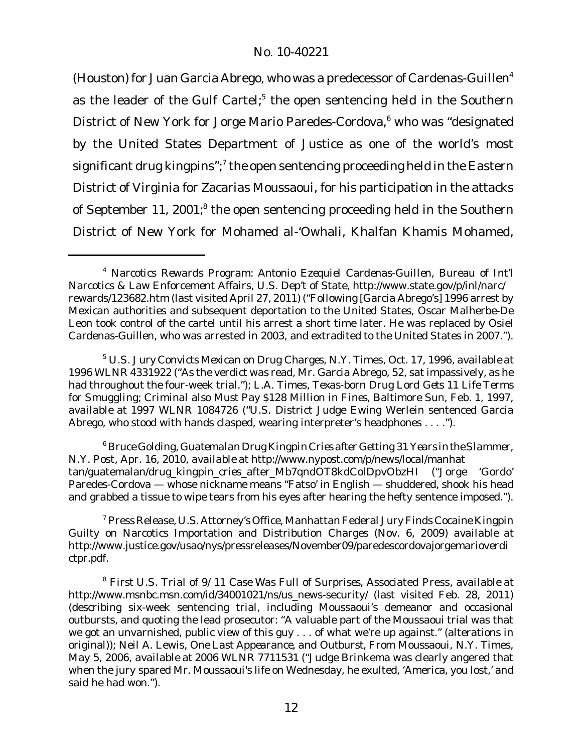(Houston) for Juan Garcia Abrego, who was a predecessor of Cardenas-Guillen<sup>4</sup> as the leader of the Gulf Cartel;<sup>5</sup> the open sentencing held in the Southern District of New York for Jorge Mario Paredes-Cordova,<sup>6</sup> who was "designated by the United States Department of Justice as one of the world's most significant drug kingpins"; $^7$  the open sentencing proceeding held in the Eastern District of Virginia for Zacarias Moussaoui, for his participation in the attacks of September 11, 2001; $^8$  the open sentencing proceeding held in the Southern District of New York for Mohamed al-'Owhali, Khalfan Khamis Mohamed,

<sup>6</sup> BruceGolding, *GuatemalanDrug Kingpin Criesafter Getting 31 Years intheSlammer*, N.Y. Post, Apr. 16, 2010, *available at* http://www.nypost.com/p/news/local/manhat tan/guatemalan/drug\_kingpin\_cries\_after\_Mb7qndOT8kdColDpvObzHI ("Jorge 'Gordo' Paredes-Cordova — whose nickname means "Fatso' in English — shuddered, shook his head and grabbed a tissue to wipe tears from his eyes after hearing the hefty sentence imposed.").

<sup>7</sup> Press Release, U.S. Attorney's Office, Manhattan Federal Jury Finds Cocaine Kingpin Guilty on Narcotics Importation and Distribution Charges (Nov. 6, 2009) *available at* http://www.justice.gov/usao/nys/pressreleases/November09/paredescordovajorgemarioverdi ctpr.pdf.

<sup>4</sup> *Narcotics Rewards Program: Antonio Ezequiel Cardenas-Guillen,* Bureau of Int'l Narcotics & Law Enforcement Affairs, U.S. Dep't of State, http://www.state.gov/p/inl/narc/ rewards/123682.htm (last visited April 27, 2011) ("Following [Garcia Abrego's] 1996 arrest by Mexican authorities and subsequent deportation to the United States, Oscar Malherbe-De Leon took control of the cartel until his arrest a short time later. He was replaced by Osiel Cardenas-Guillen, who was arrested in 2003, and extradited to the United States in 2007.").

<sup>5</sup> *U.S. Jury Convicts Mexican on Drug Charges,* N.Y. Times, Oct. 17, 1996, *available at* 1996 WLNR 4331922 ("As the verdict was read, Mr. Garcia Abrego, 52, sat impassively, as he had throughout the four-week trial."); L.A. Times, *Texas-born Drug Lord Gets 11 Life Terms for Smuggling; Criminal also Must Pay \$128 Million in Fines*, Baltimore Sun, Feb. 1, 1997, *available at* 1997 WLNR 1084726 ("U.S. District Judge Ewing Werlein sentenced Garcia Abrego, who stood with hands clasped, wearing interpreter's headphones . . . .").

<sup>8</sup> *First U.S. Trial of 9/11 Case Was Full of Surprises*, Associated Press, *available at* http://www.msnbc.msn.com/id/34001021/ns/us\_news-security/ (last visited Feb. 28, 2011) (describing six-week sentencing trial, including Moussaoui's demeanor and occasional outbursts, and quoting the lead prosecutor: "A valuable part of the Moussaoui trial was that we got an unvarnished, public view of this guy . . . of what we're up against." (alterations in original)); Neil A. Lewis, *One Last Appearance, and Outburst, From Moussaoui*, N.Y. Times, May 5, 2006, *available at* 2006 WLNR 7711531 ("Judge Brinkema was clearly angered that when the jury spared Mr. Moussaoui's life on Wednesday, he exulted, 'America, you lost,' and said he had won.").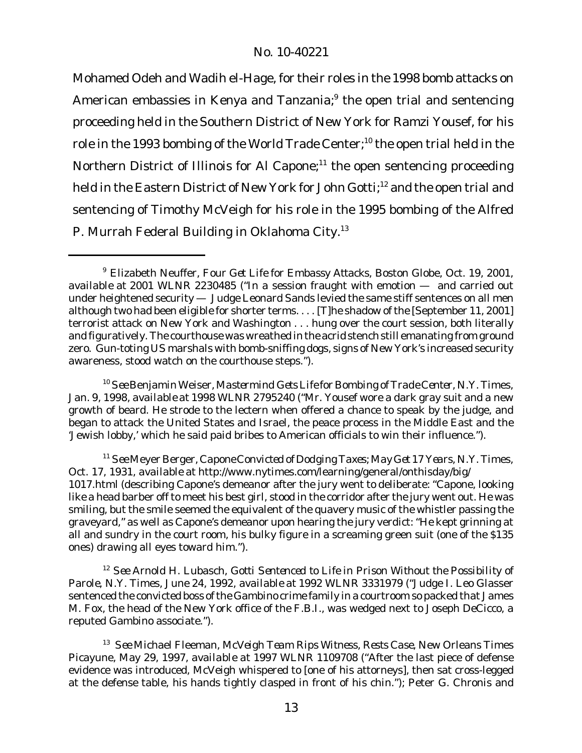Mohamed Odeh and Wadih el-Hage, for their roles in the 1998 bomb attacks on American embassies in Kenya and Tanzania; $^9$  the open trial and sentencing proceeding held in the Southern District of New York for Ramzi Yousef, for his role in the 1993 bombing of the World Trade Center;<sup>10</sup> the open trial held in the Northern District of Illinois for Al Capone;<sup>11</sup> the open sentencing proceeding held in the Eastern District of New York for John Gotti;<sup>12</sup> and the open trial and sentencing of Timothy McVeigh for his role in the 1995 bombing of the Alfred P. Murrah Federal Building in Oklahoma City.13

<sup>10</sup>*See*BenjaminWeiser,*Mastermind GetsLife for Bombing ofTrade Center*, N.Y. Times, Jan. 9, 1998, *available at* 1998 WLNR 2795240 ("Mr. Yousef wore a dark gray suit and a new growth of beard. He strode to the lectern when offered a chance to speak by the judge, and began to attack the United States and Israel, the peace process in the Middle East and the 'Jewish lobby,' which he said paid bribes to American officials to win their influence.").

<sup>11</sup> *See* Meyer Berger, *CaponeConvictedofDodgingTaxes;May Get 17 Years,* N.Y. Times, Oct. 17, 1931, *available at* http://www.nytimes.com/learning/general/onthisday/big/ 1017.html (describing Capone's demeanor after the jury went to deliberate: "Capone, looking like a head barber off to meet his best girl, stood in the corridor after the jury went out. He was smiling, but the smile seemed the equivalent of the quavery music of the whistler passing the graveyard," as well as Capone's demeanor upon hearing the jury verdict: "He kept grinning at all and sundry in the court room, his bulky figure in a screaming green suit (one of the \$135 ones) drawing all eyes toward him.").

<sup>12</sup> *See* Arnold H. Lubasch, *Gotti Sentenced to Life in Prison Without the Possibility of Parole*, N.Y. Times, June 24, 1992, *available at* 1992 WLNR 3331979 ("Judge I. Leo Glasser sentenced the convicted boss of the Gambino crime family in a courtroom so packed that James M. Fox, the head of the New York office of the F.B.I., was wedged next to Joseph DeCicco, a reputed Gambino associate.").

<sup>13</sup> *See* Michael Fleeman, *McVeigh Team Rips Witness, Rests Case*, New Orleans Times Picayune, May 29, 1997, *available at* 1997 WLNR 1109708 ("After the last piece of defense evidence was introduced, McVeigh whispered to [one of his attorneys], then sat cross-legged at the defense table, his hands tightly clasped in front of his chin."); Peter G. Chronis and

<sup>9</sup> Elizabeth Neuffer, *Four Get Life for Embassy Attacks*, Boston Globe, Oct. 19, 2001, *available at* 2001 WLNR 2230485 ("In a session fraught with emotion — and carried out under heightened security — Judge Leonard Sands levied the same stiff sentences on all men although two had been eligible for shorter terms. . . . [T]he shadow of the [September 11, 2001] terrorist attack on New York and Washington . . . hung over the court session, both literally and figuratively. The courthouse was wreathed inthe acridstenchstill emanating from ground zero. Gun-toting US marshals with bomb-sniffing dogs, signs of New York's increased security awareness, stood watch on the courthouse steps.").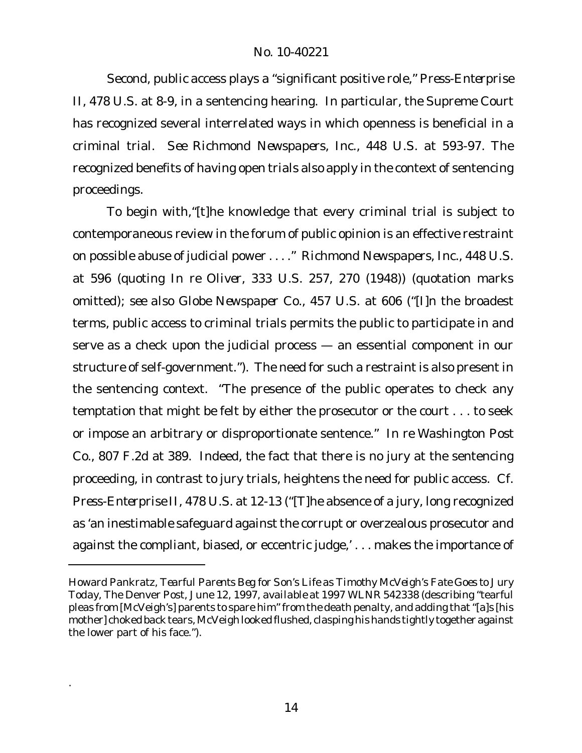Second, public access plays a "significant positive role," *Press-Enterprise II*, 478 U.S. at 8-9, in a sentencing hearing. In particular, the Supreme Court has recognized several interrelated ways in which openness is beneficial in a criminal trial. *See Richmond Newspapers, Inc.*, 448 U.S. at 593-97. The recognized benefits of having open trials also apply in the context of sentencing proceedings.

To begin with,"[t]he knowledge that every criminal trial is subject to contemporaneous review in the forum of public opinion is an effective restraint on possible abuse of judicial power . . . ." *Richmond Newspapers, Inc.*, 448 U.S. at 596 (quoting *In re Oliver*, 333 U.S. 257, 270 (1948)) (quotation marks omitted); *see also Globe Newspaper Co.*, 457 U.S. at 606 ("[I]n the broadest terms, public access to criminal trials permits the public to participate in and serve as a check upon the judicial process — an essential component in our structure of self-government."). The need for such a restraint is also present in the sentencing context. "The presence of the public operates to check any temptation that might be felt by either the prosecutor or the court . . . to seek or impose an arbitrary or disproportionate sentence." *In re Washington Post Co.*, 807 F.2d at 389. Indeed, the fact that there is no jury at the sentencing proceeding, in contrast to jury trials, heightens the need for public access. *Cf. Press-Enterprise II*, 478 U.S. at 12-13 ("[T]he absence of a jury, long recognized as 'an inestimable safeguard against the corrupt or overzealous prosecutor and against the compliant, biased, or eccentric judge,' . . . makes the importance of

.

Howard Pankratz, *Tearful Parents Beg for Son's Life as Timothy McVeigh's Fate Goes to Jury Today*, The Denver Post, June 12, 1997, *available at* 1997 WLNR 542338 (describing "tearful pleas from [McVeigh's] parents to spare him" from the death penalty, and adding that "[a]s [his mother] choked back tears, McVeigh looked flushed, clasping his hands tightly together against the lower part of his face.").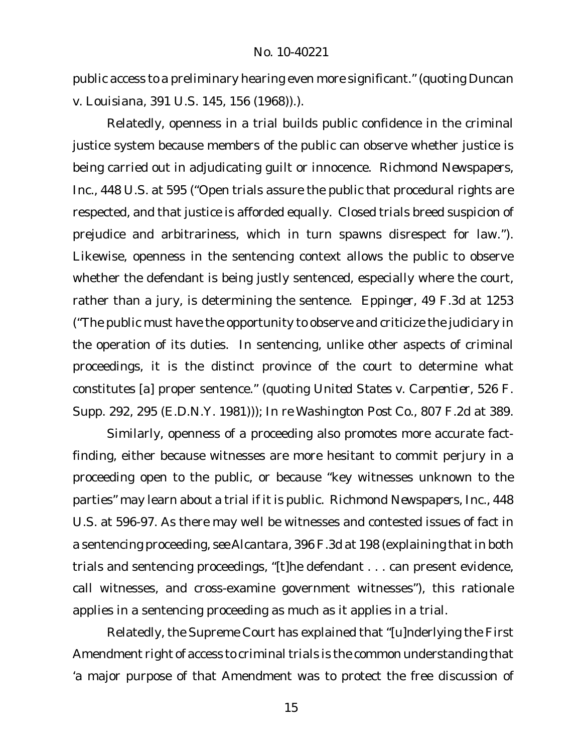public access to a preliminary hearing even more significant." (quoting *Duncan v. Louisiana*, 391 U.S. 145, 156 (1968)).).

Relatedly, openness in a trial builds public confidence in the criminal justice system because members of the public can observe whether justice is being carried out in adjudicating guilt or innocence. *Richmond Newspapers, Inc.*, 448 U.S. at 595 ("Open trials assure the public that procedural rights are respected, and that justice is afforded equally. Closed trials breed suspicion of prejudice and arbitrariness, which in turn spawns disrespect for law."). Likewise, openness in the sentencing context allows the public to observe whether the defendant is being justly sentenced, especially where the court, rather than a jury, is determining the sentence. *Eppinger*, 49 F.3d at 1253 ("The public must have the opportunity to observe and criticize the judiciary in the operation of its duties. In sentencing, unlike other aspects of criminal proceedings, it is the distinct province of the court to determine what constitutes [a] proper sentence." (quoting *United States v. Carpentier*, 526 F. Supp. 292, 295 (E.D.N.Y. 1981))); *In re Washington Post Co.*, 807 F.2d at 389.

Similarly, openness of a proceeding also promotes more accurate factfinding, either because witnesses are more hesitant to commit perjury in a proceeding open to the public, or because "key witnesses unknown to the parties" may learn about a trial if it is public. *Richmond Newspapers, Inc.*, 448 U.S. at 596-97. As there may well be witnesses and contested issues of fact in a sentencing proceeding, *see Alcantara*, 396 F.3d at 198 (explaining thatin both trials and sentencing proceedings, "[t]he defendant . . . can present evidence, call witnesses, and cross-examine government witnesses"), this rationale applies in a sentencing proceeding as much as it applies in a trial.

Relatedly, the Supreme Court has explained that "[u]nderlying the First Amendment right of access to criminal trials is the common understanding that 'a major purpose of that Amendment was to protect the free discussion of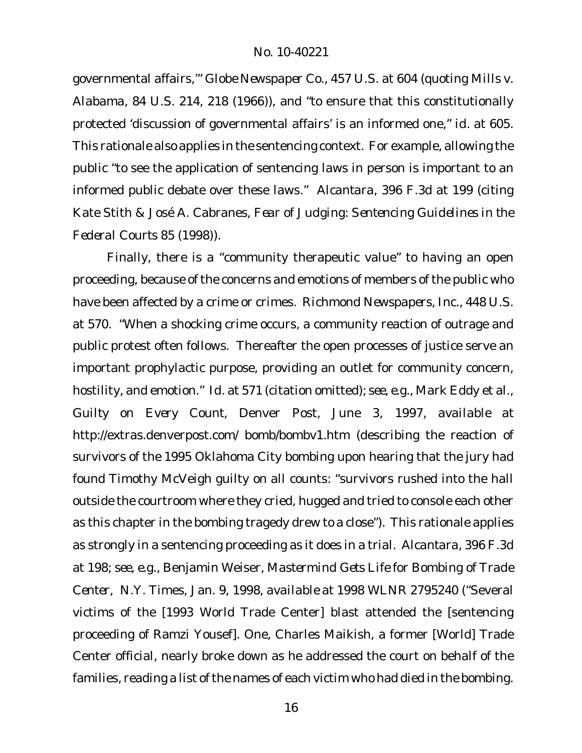governmental affairs,'" *Globe Newspaper Co.*, 457 U.S. at 604 (quoting *Mills v. Alabama*, 84 U.S. 214, 218 (1966)), and "to ensure that this constitutionally protected 'discussion of governmental affairs' is an informed one," *id.* at 605. This rationale also applies in the sentencing context. For example, allowing the public "to see the application of sentencing laws in person is important to an informed public debate over these laws." *Alcantara*, 396 F.3d at 199 (citing Kate Stith & José A. Cabranes, *Fear of Judging: Sentencing Guidelines in the Federal Courts* 85 (1998)).

Finally, there is a "community therapeutic value" to having an open proceeding, because of the concerns and emotions of members of the public who have been affected by a crime or crimes. *Richmond Newspapers, Inc.*, 448 U.S. at 570. "When a shocking crime occurs, a community reaction of outrage and public protest often follows. Thereafter the open processes of justice serve an important prophylactic purpose, providing an outlet for community concern, hostility, and emotion." *Id.* at 571 (citation omitted); *see, e.g.,* Mark Eddy et al., *Guilty on Every Count*, Denver Post, June 3, 1997, *available at* http://extras.denverpost.com/ bomb/bombv1.htm (describing the reaction of survivors of the 1995 Oklahoma City bombing upon hearing that the jury had found Timothy McVeigh guilty on all counts: "survivors rushed into the hall outside the courtroom where they cried, hugged and tried to console each other as this chapter in the bombing tragedy drew to a close"). This rationale applies as strongly in a sentencing proceeding as it does in a trial. *Alcantara*, 396 F.3d at 198; *see, e.g.,* Benjamin Weiser, *Mastermind Gets Life for Bombing of Trade Center*, N.Y. Times, Jan. 9, 1998, *available at* 1998 WLNR 2795240 ("Several victims of the [1993 World Trade Center] blast attended the [sentencing proceeding of Ramzi Yousef]. One, Charles Maikish, a former [World] Trade Center official, nearly broke down as he addressed the court on behalf of the families, reading a list of the names of each victim who had died in the bombing.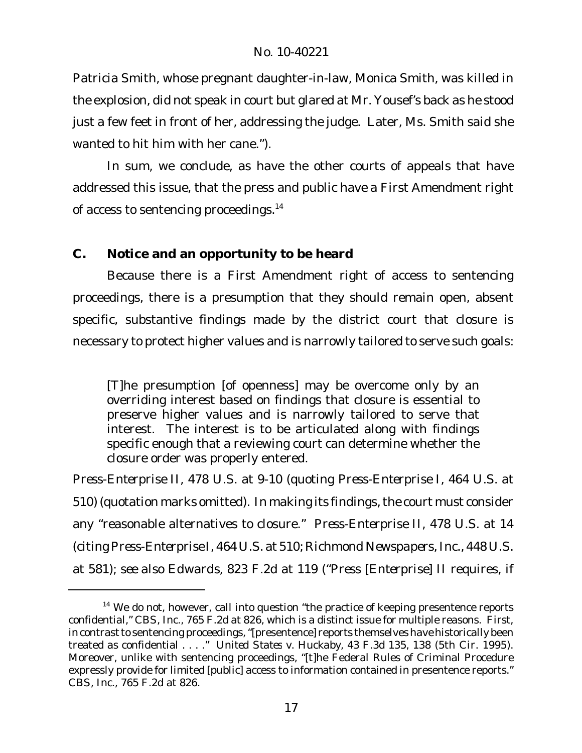Patricia Smith, whose pregnant daughter-in-law, Monica Smith, was killed in the explosion, did not speak in court but glared at Mr. Yousef's back as he stood just a few feet in front of her, addressing the judge. Later, Ms. Smith said she wanted to hit him with her cane.").

In sum, we conclude, as have the other courts of appeals that have addressed this issue, that the press and public have a First Amendment right of access to sentencing proceedings.<sup>14</sup>

# **C. Notice and an opportunity to be heard**

Because there is a First Amendment right of access to sentencing proceedings, there is a presumption that they should remain open, absent specific, substantive findings made by the district court that closure is necessary to protect higher values and is narrowly tailored to serve such goals:

[T]he presumption [of openness] may be overcome only by an overriding interest based on findings that closure is essential to preserve higher values and is narrowly tailored to serve that interest. The interest is to be articulated along with findings specific enough that a reviewing court can determine whether the closure order was properly entered.

*Press-Enterprise II*, 478 U.S. at 9-10 (quoting *Press-Enterprise I*, 464 U.S. at 510) (quotation marks omitted). In making its findings, the court must consider any "reasonable alternatives to closure." *Press-Enterprise II*, 478 U.S. at 14 (citing*Press-Enterprise I*, 464 U.S. at 510; *Richmond Newspapers, Inc.*, 448 U.S. at 581); *see also Edwards*, 823 F.2d at 119 ("*Press* [*Enterprise*] *II* requires, if

 $14$  We do not, however, call into question "the practice of keeping presentence reports confidential," *CBS, Inc.*, 765 F.2d at 826, which is a distinct issue for multiple reasons. First, in contrast to sentencing proceedings, "[presentence] reports themselves have historically been treated as confidential . . . ." *United States v. Huckaby*, 43 F.3d 135, 138 (5th Cir. 1995). Moreover, unlike with sentencing proceedings, "[t]he Federal Rules of Criminal Procedure expressly provide for limited [public] access to information contained in presentence reports." *CBS, Inc.*, 765 F.2d at 826.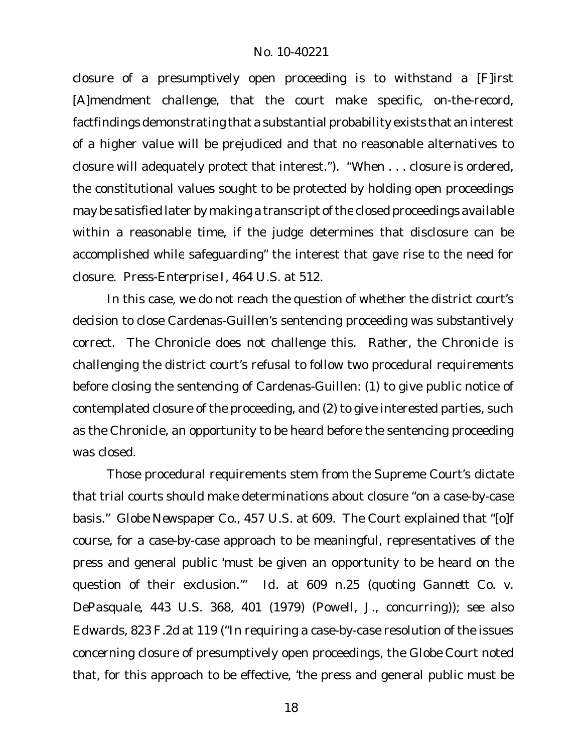closure of a presumptively open proceeding is to withstand a [F]irst [A]mendment challenge, that the court make specific, on-the-record, factfindings demonstrating that a substantial probability exists that an interest of a higher value will be prejudiced and that no reasonable alternatives to closure will adequately protect that interest."). *"*When . . . closure is ordered, the constitutional values sought to be protected by holding open proceedings may be satisfied later by making a transcript of the closed proceedings available within a reasonable time, if the judge determines that disclosure can be accomplished while safeguarding" the interest that gave rise to the need for closure. *Press-Enterprise I*, 464 U.S. at 512.

In this case, we do not reach the question of whether the district court's decision to close Cardenas-Guillen's sentencing proceeding was substantively correct. The Chronicle does not challenge this. Rather, the Chronicle is challenging the district court's refusal to follow two procedural requirements before closing the sentencing of Cardenas-Guillen: (1) to give public notice of contemplated closure of the proceeding, and (2) to give interested parties, such as the Chronicle, an opportunity to be heard before the sentencing proceeding was closed.

Those procedural requirements stem from the Supreme Court's dictate that trial courts should make determinations about closure "on a case-by-case basis." *Globe Newspaper Co.*, 457 U.S. at 609. The Court explained that "[o]f course, for a case-by-case approach to be meaningful, representatives of the press and general public 'must be given an opportunity to be heard on the question of their exclusion.'" *Id.* at 609 n.25 (quoting *Gannett Co. v. DePasquale*, 443 U.S. 368, 401 (1979) (Powell, J., concurring)); *see also Edwards*, 823 F.2d at 119 ("In requiring a case-by-case resolution of the issues concerning closure of presumptively open proceedings, the *Globe* Court noted that, for this approach to be effective, 'the press and general public must be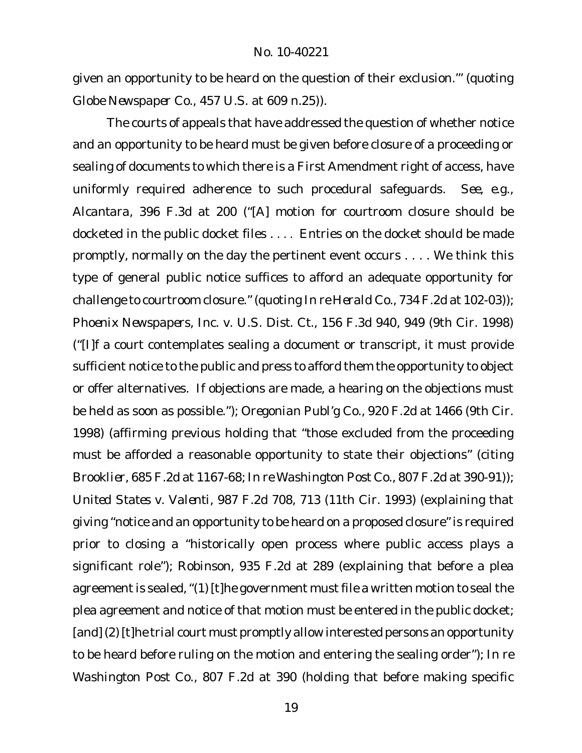given an opportunity to be heard on the question of their exclusion.'" (quoting *Globe Newspaper Co.*, 457 U.S. at 609 n.25)).

The courts of appeals that have addressed the question of whether notice and an opportunity to be heard must be given before closure of a proceeding or sealing of documents to which there is a First Amendment right of access, have uniformly required adherence to such procedural safeguards. *See, e.g., Alcantara*, 396 F.3d at 200 ("[A] motion for courtroom closure should be docketed in the public docket files . . . . Entries on the docket should be made promptly, normally on the day the pertinent event occurs . . . . We think this type of general public notice suffices to afford an adequate opportunity for challenge to courtroom closure." (quoting *In re Herald Co.*, 734 F.2d at 102-03)); *Phoenix Newspapers, Inc. v. U.S. Dist. Ct.*, 156 F.3d 940, 949 (9th Cir. 1998) ("[I]f a court contemplates sealing a document or transcript, it must provide sufficient notice to the public and press to afford them the opportunity to object or offer alternatives. If objections are made, a hearing on the objections must be held as soon as possible."); *Oregonian Publ'g Co.*, 920 F.2d at 1466 (9th Cir. 1998) (affirming previous holding that "those excluded from the proceeding must be afforded a reasonable opportunity to state their objections" (citing *Brooklier*, 685 F.2d at 1167-68; *In re Washington Post Co.*, 807 F.2d at 390-91)); *United States v. Valenti*, 987 F.2d 708, 713 (11th Cir. 1993) (explaining that giving "notice and an opportunity to be heard on a proposed closure"is required prior to closing a "historically open process where public access plays a significant role"); *Robinson*, 935 F.2d at 289 (explaining that before a plea agreement is sealed, "(1) [t]he government must file a written motion to seal the plea agreement and notice of that motion must be entered in the public docket; [and] (2) [t]he trial court must promptly allow interested persons an opportunity to be heard before ruling on the motion and entering the sealing order"); *In re Washington Post Co.*, 807 F.2d at 390 (holding that before making specific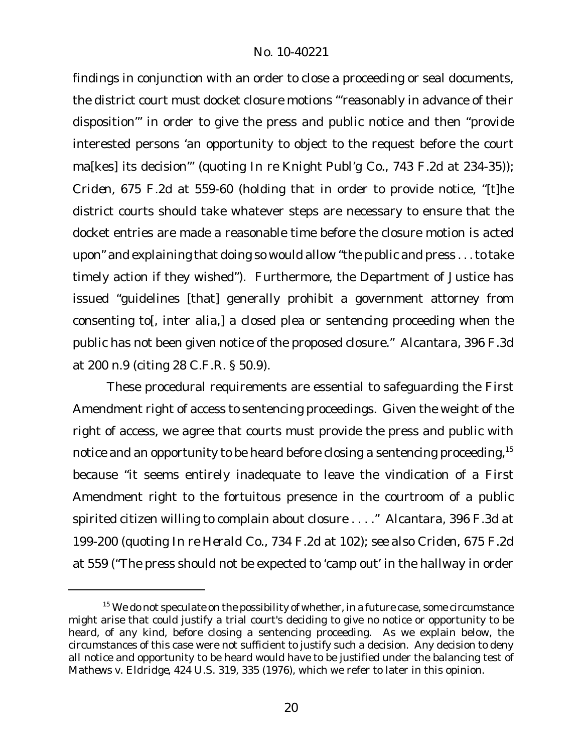findings in conjunction with an order to close a proceeding or seal documents, the district court must docket closure motions "'reasonably in advance of their disposition'" in order to give the press and public notice and then "provide interested persons 'an opportunity to object to the request before the court ma[kes] its decision'" (quoting *In re Knight Publ'g Co.*, 743 F.2d at 234-35)); *Criden*, 675 F.2d at 559-60 (holding that in order to provide notice, "[t]he district courts should take whatever steps are necessary to ensure that the docket entries are made a reasonable time before the closure motion is acted upon" and explaining that doing so would allow "the public and press . . .to take timely action if they wished"). Furthermore, the Department of Justice has issued "guidelines [that] generally prohibit a government attorney from consenting to[, inter alia,] a closed plea or sentencing proceeding when the public has not been given notice of the proposed closure." *Alcantara*, 396 F.3d at 200 n.9 (citing 28 C.F.R. § 50.9).

These procedural requirements are essential to safeguarding the First Amendment right of access to sentencing proceedings. Given the weight of the right of access, we agree that courts must provide the press and public with notice and an opportunity to be heard before closing a sentencing proceeding,<sup>15</sup> because "it seems entirely inadequate to leave the vindication of a First Amendment right to the fortuitous presence in the courtroom of a public spirited citizen willing to complain about closure . . . ." *Alcantara*, 396 F.3d at 199-200 (quoting *In re Herald Co.*, 734 F.2d at 102); *see also Criden*, 675 F.2d at 559 ("The press should not be expected to 'camp out' in the hallway in order

 $15$  We do not speculate on the possibility of whether, in a future case, some circumstance might arise that could justify a trial court's deciding to give no notice or opportunity to be heard, of any kind, before closing a sentencing proceeding. As we explain below, the circumstances of this case were not sufficient to justify such a decision. Any decision to deny all notice and opportunity to be heard would have to be justified under the balancing test of *Mathews v. Eldridge*, 424 U.S. 319, 335 (1976), which we refer to later in this opinion.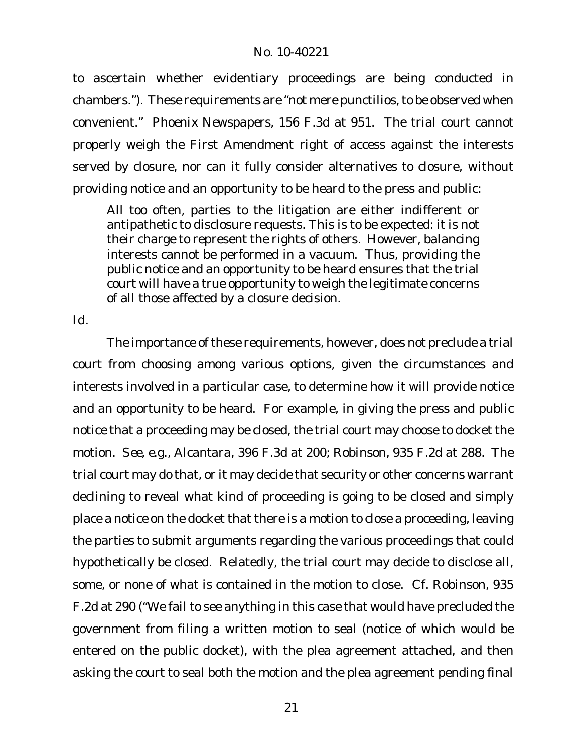to ascertain whether evidentiary proceedings are being conducted in chambers."). These requirements are "not mere punctilios, to be observed when convenient." *Phoenix Newspapers*, 156 F.3d at 951. The trial court cannot properly weigh the First Amendment right of access against the interests served by closure, nor can it fully consider alternatives to closure, without providing notice and an opportunity to be heard to the press and public:

All too often, parties to the litigation are either indifferent or antipathetic to disclosure requests. This is to be expected: it is not their charge to represent the rights of others. However, balancing interests cannot be performed in a vacuum. Thus, providing the public notice and an opportunity to be heard ensures that the trial court will have a true opportunity to weigh the legitimate concerns of all those affected by a closure decision.

*Id.*

The importance of these requirements, however, does not preclude a trial court from choosing among various options, given the circumstances and interests involved in a particular case, to determine how it will provide notice and an opportunity to be heard. For example, in giving the press and public notice that a proceeding may be closed, the trial court may choose to docket the motion. *See, e.g., Alcantara*, 396 F.3d at 200; *Robinson*, 935 F.2d at 288. The trial court may do that, or it may decide that security or other concerns warrant declining to reveal what kind of proceeding is going to be closed and simply place a notice on the docket that there is a motion to close a proceeding, leaving the parties to submit arguments regarding the various proceedings that could hypothetically be closed. Relatedly, the trial court may decide to disclose all, some, or none of what is contained in the motion to close. *Cf. Robinson*, 935 F.2d at 290 ("We fail to see anything in this case that would have precluded the government from filing a written motion to seal (notice of which would be entered on the public docket), with the plea agreement attached, and then asking the court to seal both the motion and the plea agreement pending final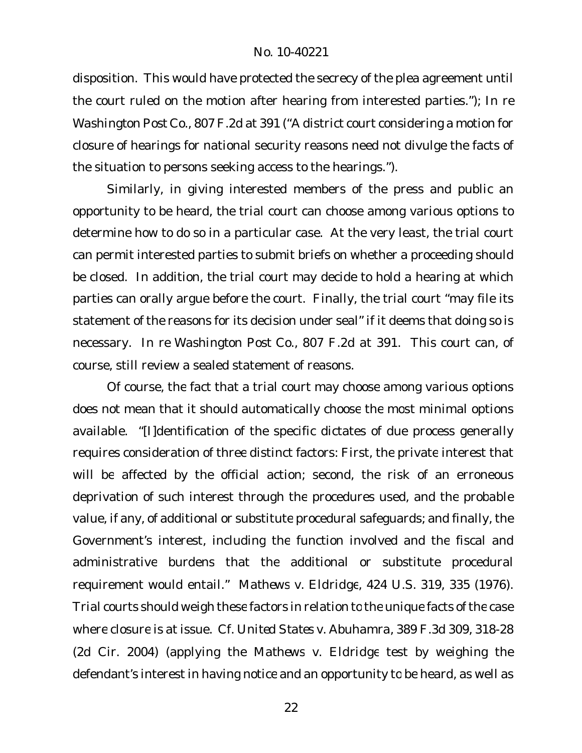disposition. This would have protected the secrecy of the plea agreement until the court ruled on the motion after hearing from interested parties."); *In re Washington Post Co.*, 807 F.2d at 391 ("A district court considering a motion for closure of hearings for national security reasons need not divulge the facts of the situation to persons seeking access to the hearings.").

Similarly, in giving interested members of the press and public an opportunity to be heard, the trial court can choose among various options to determine how to do so in a particular case. At the very least, the trial court can permit interested parties to submit briefs on whether a proceeding should be closed. In addition, the trial court may decide to hold a hearing at which parties can orally argue before the court. Finally, the trial court "may file its statement of the reasons for its decision under seal" if it deems that doing so is necessary. *In re Washington Post Co.*, 807 F.2d at 391. This court can, of course, still review a sealed statement of reasons.

Of course, the fact that a trial court may choose among various options does not mean that it should automatically choose the most minimal options available. "[I]dentification of the specific dictates of due process generally requires consideration of three distinct factors: First, the private interest that will be affected by the official action; second, the risk of an erroneous deprivation of such interest through the procedures used, and the probable value, if any, of additional or substitute procedural safeguards; and finally, the Government's interest, including the function involved and the fiscal and administrative burdens that the additional or substitute procedural requirement would entail." *Mathews v. Eldridge*, 424 U.S. 319, 335 (1976). Trial courts should weigh these factors in relation to the unique facts ofthe case where closure is at issue. *Cf. United States v. Abuhamra*, 389 F.3d 309, 318-28 (2d Cir. 2004) (applying the *Mathews v. Eldridge* test by weighing the defendant's interest in having notice and an opportunity to be heard, as well as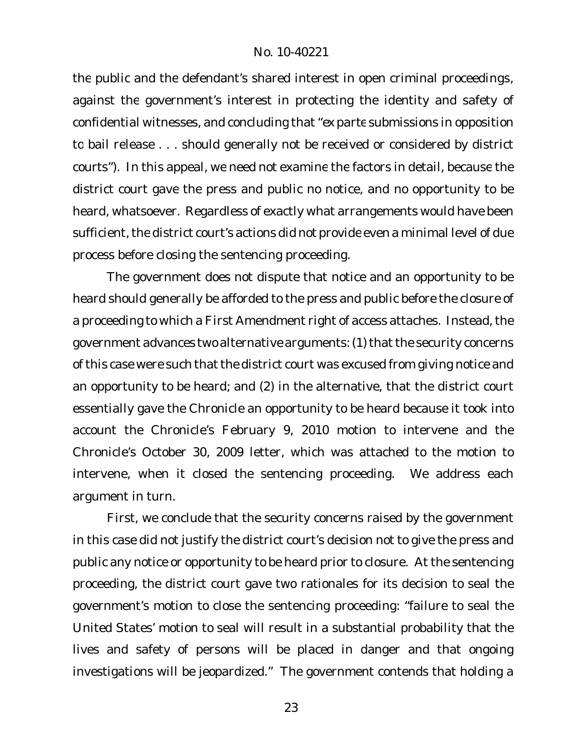the public and the defendant's shared interest in open criminal proceedings, against the government's interest in protecting the identity and safety of confidential witnesses, and concluding that "*ex parte* submissions in opposition to bail release . . . should generally not be received or considered by district courts")*.* In this appeal, we need not examine the factors in detail, because the district court gave the press and public no notice, and no opportunity to be heard, whatsoever. Regardless of exactly what arrangements would have been sufficient, the district court's actions did not provide even a minimal level of due process before closing the sentencing proceeding.

The government does not dispute that notice and an opportunity to be heard should generally be afforded to the press and public before the closure of a proceeding to which a First Amendment right of access attaches. Instead, the government advances two alternative arguments: (1) that the security concerns of this case were such that the district court was excused from giving notice and an opportunity to be heard; and (2) in the alternative, that the district court essentially gave the Chronicle an opportunity to be heard because it took into account the Chronicle's February 9, 2010 motion to intervene and the Chronicle's October 30, 2009 letter, which was attached to the motion to intervene, when it closed the sentencing proceeding. We address each argument in turn.

First, we conclude that the security concerns raised by the government in this case did not justify the district court's decision not to give the press and public any notice or opportunity to be heard prior to closure. At the sentencing proceeding, the district court gave two rationales for its decision to seal the government's motion to close the sentencing proceeding: "failure to seal the United States' motion to seal will result in a substantial probability that the lives and safety of persons will be placed in danger and that ongoing investigations will be jeopardized." The government contends that holding a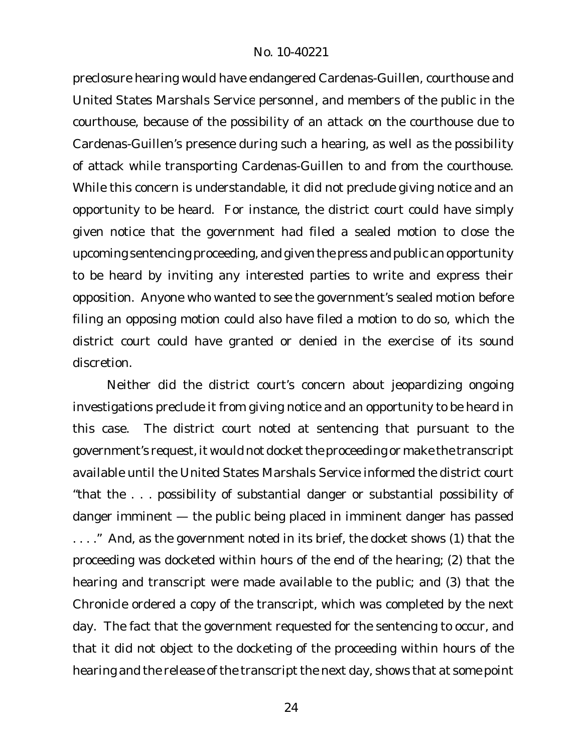preclosure hearing would have endangered Cardenas-Guillen, courthouse and United States Marshals Service personnel, and members of the public in the courthouse, because of the possibility of an attack on the courthouse due to Cardenas-Guillen's presence during such a hearing, as well as the possibility of attack while transporting Cardenas-Guillen to and from the courthouse. While this concern is understandable, it did not preclude giving notice and an opportunity to be heard. For instance, the district court could have simply given notice that the government had filed a sealed motion to close the upcoming sentencing proceeding, and given the press and public an opportunity to be heard by inviting any interested parties to write and express their opposition. Anyone who wanted to see the government's sealed motion before filing an opposing motion could also have filed a motion to do so, which the district court could have granted or denied in the exercise of its sound discretion.

Neither did the district court's concern about jeopardizing ongoing investigations preclude it from giving notice and an opportunity to be heard in this case. The district court noted at sentencing that pursuant to the government's request, it would not docket the proceeding or make the transcript available until the United States Marshals Service informed the district court "that the . . . possibility of substantial danger or substantial possibility of danger imminent — the public being placed in imminent danger has passed . . . ." And, as the government noted in its brief, the docket shows (1) that the proceeding was docketed within hours of the end of the hearing; (2) that the hearing and transcript were made available to the public; and (3) that the Chronicle ordered a copy of the transcript, which was completed by the next day. The fact that the government requested for the sentencing to occur, and that it did not object to the docketing of the proceeding within hours of the hearing and the release of the transcript the next day, shows that at some point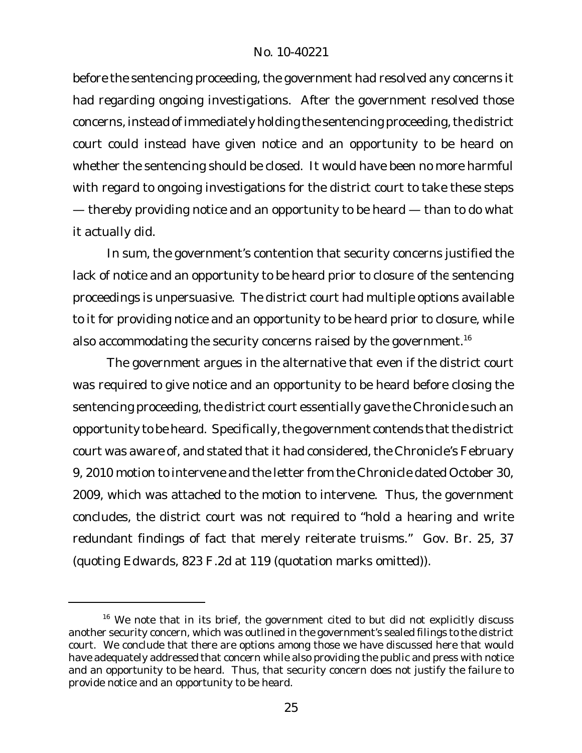before the sentencing proceeding, the government had resolved any concerns it had regarding ongoing investigations. After the government resolved those concerns, instead of immediately holding the sentencing proceeding, the district court could instead have given notice and an opportunity to be heard on whether the sentencing should be closed. It would have been no more harmful with regard to ongoing investigations for the district court to take these steps — thereby providing notice and an opportunity to be heard — than to do what it actually did.

In sum, the government's contention that security concerns justified the lack of notice and an opportunity to be heard prior to closure of the sentencing proceedings is unpersuasive. The district court had multiple options available to it for providing notice and an opportunity to be heard prior to closure, while also accommodating the security concerns raised by the government.<sup>16</sup>

The government argues in the alternative that even if the district court was required to give notice and an opportunity to be heard before closing the sentencing proceeding, the district court essentially gave the Chronicle such an opportunity to be heard. Specifically, the government contends that the district court was aware of, and stated that it had considered, the Chronicle's February 9, 2010 motion to intervene and the letter from the Chronicle dated October 30, 2009, which was attached to the motion to intervene. Thus, the government concludes, the district court was not required to "hold a hearing and write redundant findings of fact that merely reiterate truisms." Gov. Br. 25, 37 (quoting *Edwards*, 823 F.2d at 119 (quotation marks omitted)).

 $16$  We note that in its brief, the government cited to but did not explicitly discuss another security concern, which was outlined in the government's sealed filings to the district court. We conclude that there are options among those we have discussed here that would have adequately addressed that concern while also providing the public and press with notice and an opportunity to be heard. Thus, that security concern does not justify the failure to provide notice and an opportunity to be heard.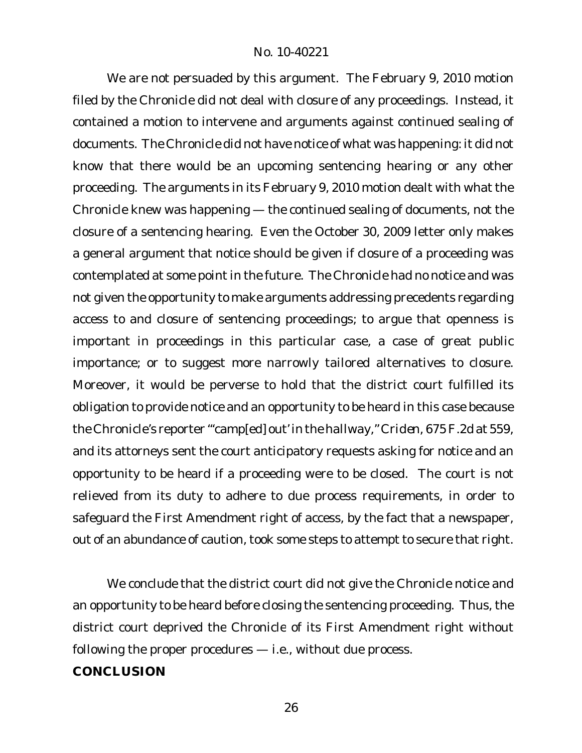We are not persuaded by this argument. The February 9, 2010 motion filed by the Chronicle did not deal with closure of any proceedings. Instead, it contained a motion to intervene and arguments against continued sealing of documents. The Chronicle did not have notice of what was happening: it did not know that there would be an upcoming sentencing hearing or any other proceeding. The arguments in its February 9, 2010 motion dealt with what the Chronicle knew was happening — the continued sealing of documents, not the closure of a sentencing hearing. Even the October 30, 2009 letter only makes a general argument that notice should be given if closure of a proceeding was contemplated at some point in the future. The Chronicle had no notice and was not given the opportunity to make arguments addressing precedents regarding access to and closure of sentencing proceedings; to argue that openness is important in proceedings in this particular case, a case of great public importance; or to suggest more narrowly tailored alternatives to closure. Moreover, it would be perverse to hold that the district court fulfilled its obligation to provide notice and an opportunity to be heard in this case because the Chronicle's reporter "'camp[ed] out' in the hallway," *Criden*, 675F.2d at 559, and its attorneys sent the court anticipatory requests asking for notice and an opportunity to be heard if a proceeding were to be closed. The court is not relieved from its duty to adhere to due process requirements, in order to safeguard the First Amendment right of access, by the fact that a newspaper, out of an abundance of caution, took some steps to attempt to secure that right.

We conclude that the district court did not give the Chronicle notice and an opportunity to be heard before closing the sentencing proceeding. Thus, the district court deprived the Chronicle of its First Amendment right without following the proper procedures — i.e., without due process. **CONCLUSION**